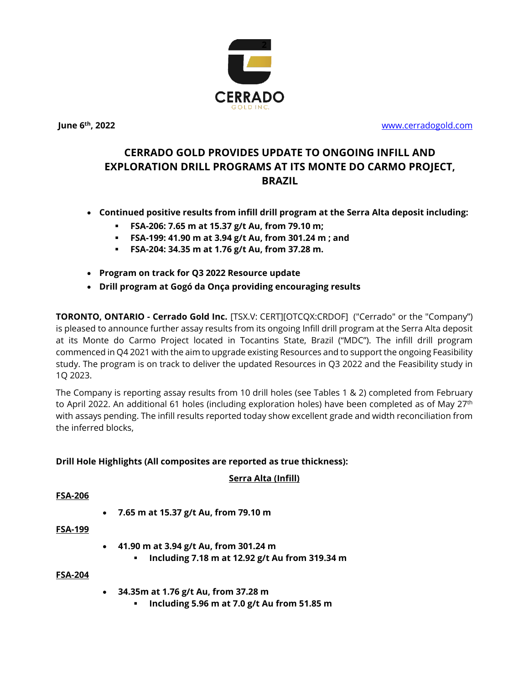

**June 6**

**th, 2022** [www.cerradogold.com](http://www.cerradogold.com/)

# **CERRADO GOLD PROVIDES UPDATE TO ONGOING INFILL AND EXPLORATION DRILL PROGRAMS AT ITS MONTE DO CARMO PROJECT, BRAZIL**

- **Continued positive results from infill drill program at the Serra Alta deposit including:**
	- **FSA-206: 7.65 m at 15.37 g/t Au, from 79.10 m;**
	- **FSA-199: 41.90 m at 3.94 g/t Au, from 301.24 m ; and**
	- **FSA-204: 34.35 m at 1.76 g/t Au, from 37.28 m.**
- **Program on track for Q3 2022 Resource update**
- **Drill program at Gogó da Onça providing encouraging results**

**TORONTO, ONTARIO - Cerrado Gold Inc.** [TSX.V: CERT][OTCQX:CRDOF] ("Cerrado" or the "Company") is pleased to announce further assay results from its ongoing Infill drill program at the Serra Alta deposit at its Monte do Carmo Project located in Tocantins State, Brazil ("MDC"). The infill drill program commenced in Q4 2021 with the aim to upgrade existing Resources and to support the ongoing Feasibility study. The program is on track to deliver the updated Resources in Q3 2022 and the Feasibility study in 1Q 2023.

The Company is reporting assay results from 10 drill holes (see Tables 1 & 2) completed from February to April 2022. An additional 61 holes (including exploration holes) have been completed as of May 27<sup>th</sup> with assays pending. The infill results reported today show excellent grade and width reconciliation from the inferred blocks,

#### **Drill Hole Highlights (All composites are reported as true thickness):**

#### **Serra Alta (Infill)**

#### **FSA-206**

• **7.65 m at 15.37 g/t Au, from 79.10 m**

#### **FSA-199**

- **41.90 m at 3.94 g/t Au, from 301.24 m**
	- **Including 7.18 m at 12.92 g/t Au from 319.34 m**

#### **FSA-204**

- **34.35m at 1.76 g/t Au, from 37.28 m**
	- **Including 5.96 m at 7.0 g/t Au from 51.85 m**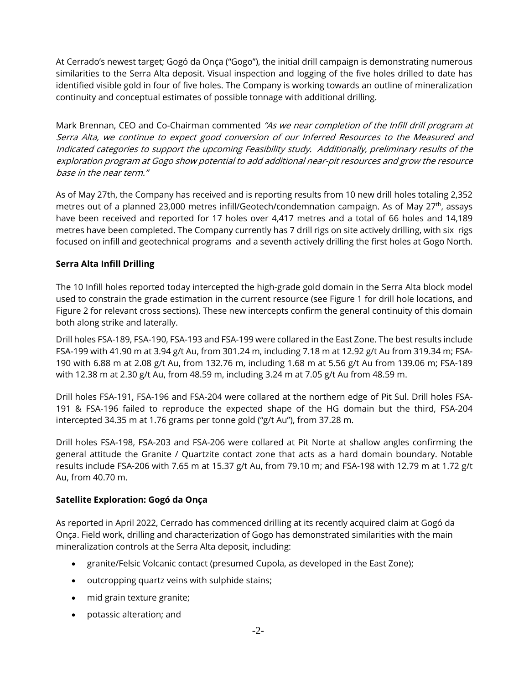At Cerrado's newest target; Gogó da Onça ("Gogo"), the initial drill campaign is demonstrating numerous similarities to the Serra Alta deposit. Visual inspection and logging of the five holes drilled to date has identified visible gold in four of five holes. The Company is working towards an outline of mineralization continuity and conceptual estimates of possible tonnage with additional drilling.

Mark Brennan, CEO and Co-Chairman commented "As we near completion of the Infill drill program at Serra Alta, we continue to expect good conversion of our Inferred Resources to the Measured and Indicated categories to support the upcoming Feasibility study. Additionally, preliminary results of the exploration program at Gogo show potential to add additional near-pit resources and grow the resource base in the near term."

As of May 27th, the Company has received and is reporting results from 10 new drill holes totaling 2,352 metres out of a planned 23,000 metres infill/Geotech/condemnation campaign. As of May 27<sup>th</sup>, assays have been received and reported for 17 holes over 4,417 metres and a total of 66 holes and 14,189 metres have been completed. The Company currently has 7 drill rigs on site actively drilling, with six rigs focused on infill and geotechnical programs and a seventh actively drilling the first holes at Gogo North.

### **Serra Alta Infill Drilling**

The 10 Infill holes reported today intercepted the high-grade gold domain in the Serra Alta block model used to constrain the grade estimation in the current resource (see Figure 1 for drill hole locations, and Figure 2 for relevant cross sections). These new intercepts confirm the general continuity of this domain both along strike and laterally.

Drill holes FSA-189, FSA-190, FSA-193 and FSA-199 were collared in the East Zone. The best results include FSA-199 with 41.90 m at 3.94 g/t Au, from 301.24 m, including 7.18 m at 12.92 g/t Au from 319.34 m; FSA-190 with 6.88 m at 2.08 g/t Au, from 132.76 m, including 1.68 m at 5.56 g/t Au from 139.06 m; FSA-189 with 12.38 m at 2.30 g/t Au, from 48.59 m, including 3.24 m at 7.05 g/t Au from 48.59 m.

Drill holes FSA-191, FSA-196 and FSA-204 were collared at the northern edge of Pit Sul. Drill holes FSA-191 & FSA-196 failed to reproduce the expected shape of the HG domain but the third, FSA-204 intercepted 34.35 m at 1.76 grams per tonne gold ("g/t Au"), from 37.28 m.

Drill holes FSA-198, FSA-203 and FSA-206 were collared at Pit Norte at shallow angles confirming the general attitude the Granite / Quartzite contact zone that acts as a hard domain boundary. Notable results include FSA-206 with 7.65 m at 15.37 g/t Au, from 79.10 m; and FSA-198 with 12.79 m at 1.72 g/t Au, from 40.70 m.

#### **Satellite Exploration: Gogó da Onça**

As reported in April 2022, Cerrado has commenced drilling at its recently acquired claim at Gogó da Onça. Field work, drilling and characterization of Gogo has demonstrated similarities with the main mineralization controls at the Serra Alta deposit, including:

- granite/Felsic Volcanic contact (presumed Cupola, as developed in the East Zone);
- outcropping quartz veins with sulphide stains;
- mid grain texture granite;
- potassic alteration; and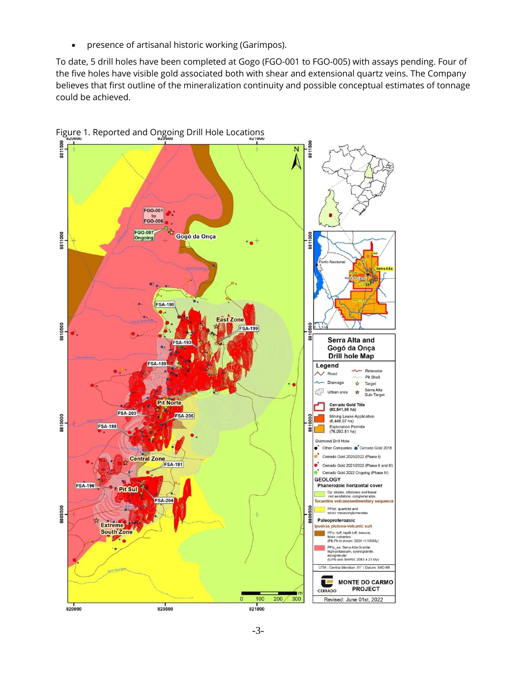• presence of artisanal historic working (Garimpos).

To date, 5 drill holes have been completed at Gogo (FGO-001 to FGO-005) with assays pending. Four of the five holes have visible gold associated both with shear and extensional quartz veins. The Company believes that first outline of the mineralization continuity and possible conceptual estimates of tonnage could be achieved.



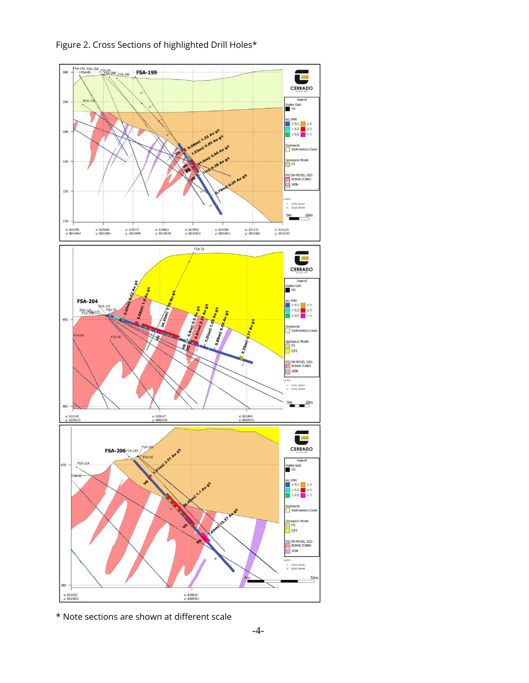

Figure 2. Cross Sections of highlighted Drill Holes\*

\* Note sections are shown at different scale

x: 820518<br>y: 8809981

x: 820430<br>y: 8810001

 $\frac{50}{1}$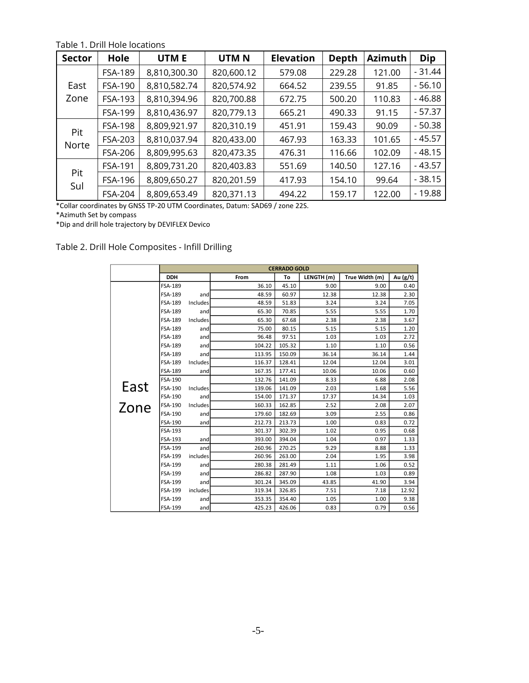| <b>Sector</b> | Hole           | UTM E        | UTM <sub>N</sub> | <b>Elevation</b> | <b>Depth</b> | <b>Azimuth</b> | Dip      |
|---------------|----------------|--------------|------------------|------------------|--------------|----------------|----------|
|               | <b>FSA-189</b> | 8,810,300.30 | 820,600.12       | 579.08           | 229.28       | 121.00         | $-31.44$ |
| East<br>Zone  | FSA-190        | 8,810,582.74 | 820,574.92       | 664.52           | 239.55       | 91.85          | $-56.10$ |
|               | FSA-193        | 8,810,394.96 | 820,700.88       | 672.75           | 500.20       | 110.83         | $-46.88$ |
|               | FSA-199        | 8,810,436.97 | 820,779.13       | 665.21           | 490.33       | 91.15          | - 57.37  |
| Pit<br>Norte  | <b>FSA-198</b> | 8,809,921.97 | 820,310.19       | 451.91           | 159.43       | 90.09          | $-50.38$ |
|               | FSA-203        | 8,810,037.94 | 820,433.00       | 467.93           | 163.33       | 101.65         | $-45.57$ |
|               | <b>FSA-206</b> | 8,809,995.63 | 820,473.35       | 476.31           | 116.66       | 102.09         | $-48.15$ |
| Pit<br>Sul    | FSA-191        | 8,809,731.20 | 820,403.83       | 551.69           | 140.50       | 127.16         | - 43.57  |
|               | FSA-196        | 8,809,650.27 | 820,201.59       | 417.93           | 154.10       | 99.64          | $-38.15$ |
|               | FSA-204        | 8,809,653.49 | 820,371.13       | 494.22           | 159.17       | 122.00         | - 19.88  |

Table 1. Drill Hole locations

\*Collar coordinates by GNSS TP-20 UTM Coordinates, Datum: SAD69 / zone 22S.

\*Azimuth Set by compass

\*Dip and drill hole trajectory by DEVIFLEX Devico

## Table 2. Drill Hole Composites - Infill Drilling

|      | <b>CERRADO GOLD</b> |                 |        |        |            |                |            |
|------|---------------------|-----------------|--------|--------|------------|----------------|------------|
|      | <b>DDH</b>          |                 | From   | To     | LENGTH (m) | True Width (m) | Au $(g/t)$ |
|      | FSA-189             |                 | 36.10  | 45.10  | 9.00       | 9.00           | 0.40       |
|      | FSA-189             | andl            | 48.59  | 60.97  | 12.38      | 12.38          | 2.30       |
|      | FSA-189             | Includes        | 48.59  | 51.83  | 3.24       | 3.24           | 7.05       |
|      | FSA-189             | and             | 65.30  | 70.85  | 5.55       | 5.55           | 1.70       |
|      | FSA-189             | Includes        | 65.30  | 67.68  | 2.38       | 2.38           | 3.67       |
|      | FSA-189             | and             | 75.00  | 80.15  | 5.15       | 5.15           | 1.20       |
|      | <b>FSA-189</b>      | and             | 96.48  | 97.51  | 1.03       | 1.03           | 2.72       |
|      | FSA-189             | and             | 104.22 | 105.32 | 1.10       | 1.10           | 0.56       |
|      | FSA-189             | and             | 113.95 | 150.09 | 36.14      | 36.14          | 1.44       |
|      | FSA-189             | <b>Includes</b> | 116.37 | 128.41 | 12.04      | 12.04          | 3.01       |
|      | <b>FSA-189</b>      | and             | 167.35 | 177.41 | 10.06      | 10.06          | 0.60       |
|      | FSA-190             |                 | 132.76 | 141.09 | 8.33       | 6.88           | 2.08       |
| East | FSA-190             | Includes        | 139.06 | 141.09 | 2.03       | 1.68           | 5.56       |
|      | FSA-190             | and             | 154.00 | 171.37 | 17.37      | 14.34          | 1.03       |
| Zone | <b>FSA-190</b>      | Includes        | 160.33 | 162.85 | 2.52       | 2.08           | 2.07       |
|      | FSA-190             | and             | 179.60 | 182.69 | 3.09       | 2.55           | 0.86       |
|      | FSA-190             | and             | 212.73 | 213.73 | 1.00       | 0.83           | 0.72       |
|      | FSA-193             |                 | 301.37 | 302.39 | 1.02       | 0.95           | 0.68       |
|      | FSA-193             | and             | 393.00 | 394.04 | 1.04       | 0.97           | 1.33       |
|      | FSA-199             | and             | 260.96 | 270.25 | 9.29       | 8.88           | 1.33       |
|      | <b>FSA-199</b>      | includes        | 260.96 | 263.00 | 2.04       | 1.95           | 3.98       |
|      | FSA-199             | and             | 280.38 | 281.49 | 1.11       | 1.06           | 0.52       |
|      | FSA-199             | and             | 286.82 | 287.90 | 1.08       | 1.03           | 0.89       |
|      | FSA-199             | and             | 301.24 | 345.09 | 43.85      | 41.90          | 3.94       |
|      | FSA-199             | includes        | 319.34 | 326.85 | 7.51       | 7.18           | 12.92      |
|      | FSA-199             | and             | 353.35 | 354.40 | 1.05       | 1.00           | 9.38       |
|      | <b>FSA-199</b>      | and             | 425.23 | 426.06 | 0.83       | 0.79           | 0.56       |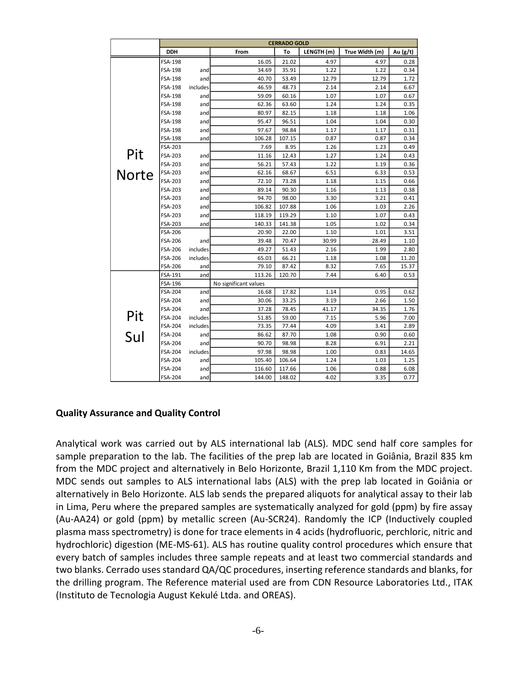|              | <b>CERRADO GOLD</b> |          |                       |        |            |                |          |
|--------------|---------------------|----------|-----------------------|--------|------------|----------------|----------|
|              | DDH                 |          | From                  | To     | LENGTH (m) | True Width (m) | Au (g/t) |
|              | FSA-198             |          | 16.05                 | 21.02  | 4.97       | 4.97           | 0.28     |
|              | FSA-198             | and      | 34.69                 | 35.91  | 1.22       | 1.22           | 0.34     |
|              | <b>FSA-198</b>      | and      | 40.70                 | 53.49  | 12.79      | 12.79          | 1.72     |
|              | FSA-198             | includes | 46.59                 | 48.73  | 2.14       | 2.14           | 6.67     |
|              | FSA-198             | and      | 59.09                 | 60.16  | 1.07       | 1.07           | 0.67     |
|              | FSA-198             | and      | 62.36                 | 63.60  | 1.24       | 1.24           | 0.35     |
|              | <b>FSA-198</b>      | and      | 80.97                 | 82.15  | 1.18       | 1.18           | 1.06     |
|              | FSA-198             | and      | 95.47                 | 96.51  | 1.04       | 1.04           | 0.30     |
|              | FSA-198             | and      | 97.67                 | 98.84  | 1.17       | 1.17           | 0.31     |
|              | FSA-198             | and      | 106.28                | 107.15 | 0.87       | 0.87           | 0.34     |
|              | FSA-203             |          | 7.69                  | 8.95   | 1.26       | 1.23           | 0.49     |
| Pit          | FSA-203             | and      | 11.16                 | 12.43  | 1.27       | 1.24           | 0.43     |
|              | FSA-203             | and      | 56.21                 | 57.43  | 1.22       | 1.19           | 0.36     |
| <b>Norte</b> | FSA-203             | and      | 62.16                 | 68.67  | 6.51       | 6.33           | 0.53     |
|              | FSA-203             | and      | 72.10                 | 73.28  | 1.18       | 1.15           | 0.66     |
|              | FSA-203             | and      | 89.14                 | 90.30  | 1.16       | 1.13           | 0.38     |
|              | FSA-203             | and      | 94.70                 | 98.00  | 3.30       | 3.21           | 0.41     |
|              | FSA-203             | and      | 106.82                | 107.88 | 1.06       | 1.03           | 2.26     |
|              | FSA-203             | and      | 118.19                | 119.29 | 1.10       | 1.07           | 0.43     |
|              | <b>FSA-203</b>      | and      | 140.33                | 141.38 | 1.05       | 1.02           | 0.34     |
|              | <b>FSA-206</b>      |          | 20.90                 | 22.00  | 1.10       | 1.01           | 3.51     |
|              | FSA-206             | and      | 39.48                 | 70.47  | 30.99      | 28.49          | 1.10     |
|              | FSA-206             | includes | 49.27                 | 51.43  | 2.16       | 1.99           | 2.80     |
|              | FSA-206             | includes | 65.03                 | 66.21  | 1.18       | 1.08           | 11.20    |
|              | FSA-206             | and      | 79.10                 | 87.42  | 8.32       | 7.65           | 15.37    |
|              | FSA-191             | and      | 113.26                | 120.70 | 7.44       | 6.40           | 0.53     |
|              | FSA-196             |          | No significant values |        |            |                |          |
|              | FSA-204             | and      | 16.68                 | 17.82  | 1.14       | 0.95           | 0.62     |
|              | FSA-204             | and      | 30.06                 | 33.25  | 3.19       | 2.66           | 1.50     |
|              | FSA-204             | and      | 37.28                 | 78.45  | 41.17      | 34.35          | 1.76     |
| Pit          | FSA-204             | includes | 51.85                 | 59.00  | 7.15       | 5.96           | 7.00     |
|              | FSA-204             | includes | 73.35                 | 77.44  | 4.09       | 3.41           | 2.89     |
| Sul          | FSA-204             | and      | 86.62                 | 87.70  | 1.08       | 0.90           | 0.60     |
|              | FSA-204             | and      | 90.70                 | 98.98  | 8.28       | 6.91           | 2.21     |
|              | FSA-204             | includes | 97.98                 | 98.98  | 1.00       | 0.83           | 14.65    |
|              | FSA-204             | and      | 105.40                | 106.64 | 1.24       | 1.03           | 1.25     |
|              | FSA-204             | and      | 116.60                | 117.66 | 1.06       | 0.88           | 6.08     |
|              | FSA-204             | and      | 144.00                | 148.02 | 4.02       | 3.35           | 0.77     |

#### **Quality Assurance and Quality Control**  $F<sub>2</sub>$

Analytical work was carried out by ALS international lab (ALS). MDC send half core samples for sample preparation to the lab. The facilities of the prep lab are located in Goiânia, Brazil 835 km from the MDC project and alternatively in Belo Horizonte, Brazil 1,110 Km from the MDC project. MDC sends out samples to ALS international labs (ALS) with the prep lab located in Goiânia or alternatively in Belo Horizonte. ALS lab sends the prepared aliquots for analytical assay to their lab in Lima, Peru where the prepared samples are systematically analyzed for gold (ppm) by fire assay (Au-AA24) or gold (ppm) by metallic screen (Au-SCR24). Randomly the ICP (Inductively coupled plasma mass spectrometry) is done for trace elements in 4 acids (hydrofluoric, perchloric, nitric and hydrochloric) digestion (ME-MS-61). ALS has routine quality control procedures which ensure that every batch of samples includes three sample repeats and at least two commercial standards and two blanks. Cerrado uses standard QA/QC procedures, inserting reference standards and blanks, for the drilling program. The Reference material used are from CDN Resource Laboratories Ltd., ITAK (Instituto de Tecnologia August Kekulé Ltda. and OREAS).  $\epsilon$  as: The facilities of the prep fas are focated in column,  $\epsilon$  $\frac{1}{20}$  incorrectional labor  $\frac{1}{2}$  i.e., the propriate ideal is the mediated proparoa samples are syd  $\mathcal{F}_{1}$ , and 37.28  $\mathcal{F}_{2}$  and 37.28  $\mathcal{F}_{3}$  and 37.35  $\mathcal{F}_{4}$  and 37.45  $\mathcal{F}_{5}$  1.76  $\mathcal{F}_{6}$ FSA-204 and 86.62 87.70 1.08 0.090 0.600 0.600 0.600 0.600 0.70 1.08 0.90 0.600 0.70 1.08 0.70 1.08 0.70 1.08 FSA-204 and 105.40 106.64 1.24 1.03 1.25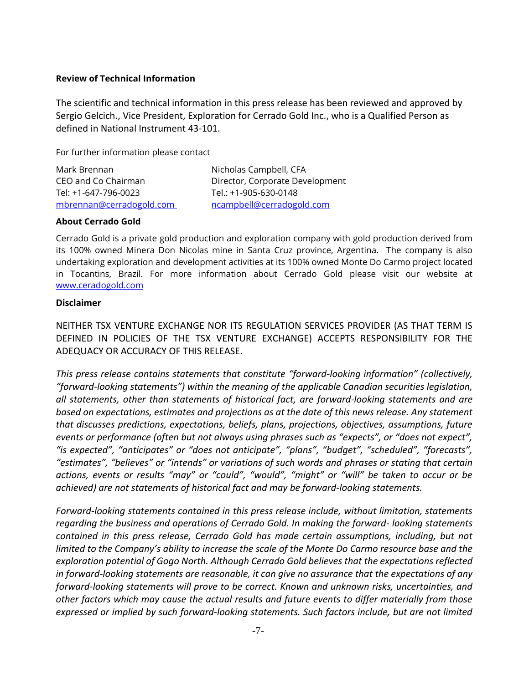#### **Review of Technical Information**

The scientific and technical information in this press release has been reviewed and approved by Sergio Gelcich., Vice President, Exploration for Cerrado Gold Inc., who is a Qualified Person as defined in National Instrument 43-101.

For further information please contact

| Mark Brennan             | Nicholas Campbell, CFA          |
|--------------------------|---------------------------------|
| CEO and Co Chairman      | Director, Corporate Development |
| Tel: +1-647-796-0023     | Tel.: +1-905-630-0148           |
| mbrennan@cerradogold.com | ncampbell@cerradogold.com       |

#### **About Cerrado Gold**

Cerrado Gold is a private gold production and exploration company with gold production derived from its 100% owned Minera Don Nicolas mine in Santa Cruz province, Argentina. The company is also undertaking exploration and development activities at its 100% owned Monte Do Carmo project located in Tocantins, Brazil. For more information about Cerrado Gold please visit our website at [www.ceradogold.com](http://www.ceradogold.com/)

#### **Disclaimer**

NEITHER TSX VENTURE EXCHANGE NOR ITS REGULATION SERVICES PROVIDER (AS THAT TERM IS DEFINED IN POLICIES OF THE TSX VENTURE EXCHANGE) ACCEPTS RESPONSIBILITY FOR THE ADEQUACY OR ACCURACY OF THIS RELEASE.

*This press release contains statements that constitute "forward-looking information" (collectively, "forward-looking statements") within the meaning of the applicable Canadian securities legislation, all statements, other than statements of historical fact, are forward-looking statements and are based on expectations, estimates and projections as at the date of this news release. Any statement that discusses predictions, expectations, beliefs, plans, projections, objectives, assumptions, future events or performance (often but not always using phrases such as "expects", or "does not expect", "is expected", "anticipates" or "does not anticipate", "plans", "budget", "scheduled", "forecasts", "estimates", "believes" or "intends" or variations of such words and phrases or stating that certain actions, events or results "may" or "could", "would", "might" or "will" be taken to occur or be achieved) are not statements of historical fact and may be forward-looking statements.* 

*Forward-looking statements contained in this press release include, without limitation, statements regarding the business and operations of Cerrado Gold. In making the forward- looking statements contained in this press release, Cerrado Gold has made certain assumptions, including, but not limited to the Company's ability to increase the scale of the Monte Do Carmo resource base and the exploration potential of Gogo North. Although Cerrado Gold believes that the expectations reflected in forward-looking statements are reasonable, it can give no assurance that the expectations of any forward-looking statements will prove to be correct. Known and unknown risks, uncertainties, and other factors which may cause the actual results and future events to differ materially from those expressed or implied by such forward-looking statements. Such factors include, but are not limited*